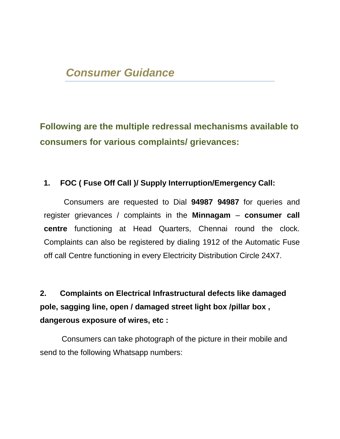**Following are the multiple redressal mechanisms available to consumers for various complaints/ grievances:**

## **1. FOC ( Fuse Off Call )/ Supply Interruption/Emergency Call:**

Consumers are requested to Dial **94987 94987** for queries and register grievances / complaints in the **Minnagam** – **consumer call centre** functioning at Head Quarters, Chennai round the clock. Complaints can also be registered by dialing 1912 of the Automatic Fuse off call Centre functioning in every Electricity Distribution Circle 24X7.

**2. Complaints on Electrical Infrastructural defects like damaged pole, sagging line, open / damaged street light box /pillar box , dangerous exposure of wires, etc :**

 Consumers can take photograph of the picture in their mobile and send to the following Whatsapp numbers: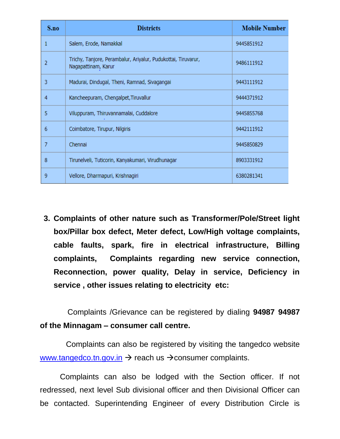| S.no | <b>Districts</b>                                                                     | <b>Mobile Number</b> |
|------|--------------------------------------------------------------------------------------|----------------------|
|      | Salem, Erode, Namakkal                                                               | 9445851912           |
| 2    | Trichy, Tanjore, Perambalur, Ariyalur, Pudukottai, Tiruvarur,<br>Nagapattinam, Karur | 9486111912           |
| 3    | Madurai, Dindugal, Theni, Ramnad, Sivagangai                                         | 9443111912           |
| 4    | Kancheepuram, Chengalpet, Tiruvallur                                                 | 9444371912           |
| 5    | Viluppuram, Thiruvannamalai, Cuddalore                                               | 9445855768           |
| 6    | Coimbatore, Tirupur, Nilgiris                                                        | 9442111912           |
| 7    | Chennai                                                                              | 9445850829           |
| 8    | Tirunelveli, Tuticorin, Kanyakumari, Virudhunagar                                    | 8903331912           |
| 9    | Vellore, Dharmapuri, Krishnagiri                                                     | 6380281341           |

**3. Complaints of other nature such as Transformer/Pole/Street light box/Pillar box defect, Meter defect, Low/High voltage complaints, cable faults, spark, fire in electrical infrastructure, Billing complaints, Complaints regarding new service connection, Reconnection, power quality, Delay in service, Deficiency in service , other issues relating to electricity etc:**

Complaints /Grievance can be registered by dialing **94987 94987 of the Minnagam – consumer call centre.**

 Complaints can also be registered by visiting the tangedco website [www.tangedco.tn.gov.in](http://www.tangedco.tn.gov.in/)  $\rightarrow$  reach us  $\rightarrow$  consumer complaints.

Complaints can also be lodged with the Section officer. If not redressed, next level Sub divisional officer and then Divisional Officer can be contacted. Superintending Engineer of every Distribution Circle is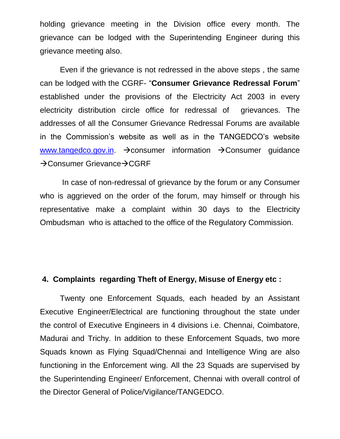holding grievance meeting in the Division office every month. The grievance can be lodged with the Superintending Engineer during this grievance meeting also.

Even if the grievance is not redressed in the above steps , the same can be lodged with the CGRF- "**Consumer Grievance Redressal Forum**" established under the provisions of the Electricity Act 2003 in every electricity distribution circle office for redressal of grievances. The addresses of all the Consumer Grievance Redressal Forums are available in the Commission's website as well as in the TANGEDCO's website [www.tangedco.gov.in.](http://www.tangedco.gov.in/)  $\rightarrow$  consumer information  $\rightarrow$  Consumer guidance  $\rightarrow$  Consumer Grievance $\rightarrow$  CGRF

In case of non-redressal of grievance by the forum or any Consumer who is aggrieved on the order of the forum, may himself or through his representative make a complaint within 30 days to the Electricity Ombudsman who is attached to the office of the Regulatory Commission.

## **4. Complaints regarding Theft of Energy, Misuse of Energy etc :**

Twenty one Enforcement Squads, each headed by an Assistant Executive Engineer/Electrical are functioning throughout the state under the control of Executive Engineers in 4 divisions i.e. Chennai, Coimbatore, Madurai and Trichy. In addition to these Enforcement Squads, two more Squads known as Flying Squad/Chennai and Intelligence Wing are also functioning in the Enforcement wing. All the 23 Squads are supervised by the Superintending Engineer/ Enforcement, Chennai with overall control of the Director General of Police/Vigilance/TANGEDCO.